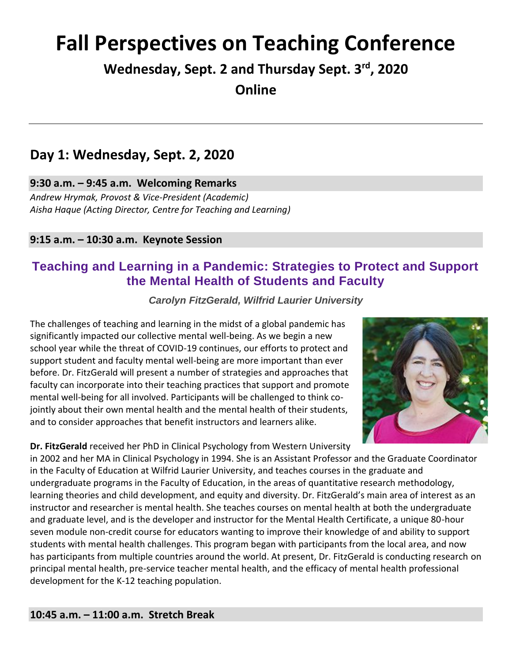# **Fall Perspectives on Teaching Conference**

**Wednesday, Sept. 2 and Thursday Sept. 3rd, 2020 Online**

### **Day 1: Wednesday, Sept. 2, 2020**

### **9:30 a.m. – 9:45 a.m. Welcoming Remarks**

*Andrew Hrymak, Provost & Vice-President (Academic) Aisha Haque (Acting Director, Centre for Teaching and Learning)*

### **9:15 a.m. – 10:30 a.m. Keynote Session**

### **Teaching and Learning in a Pandemic: Strategies to Protect and Support the Mental Health of Students and Faculty**

*Carolyn FitzGerald, Wilfrid Laurier University*

The challenges of teaching and learning in the midst of a global pandemic has significantly impacted our collective mental well-being. As we begin a new school year while the threat of COVID-19 continues, our efforts to protect and support student and faculty mental well-being are more important than ever before. Dr. FitzGerald will present a number of strategies and approaches that faculty can incorporate into their teaching practices that support and promote mental well-being for all involved. Participants will be challenged to think cojointly about their own mental health and the mental health of their students, and to consider approaches that benefit instructors and learners alike.

**Dr. FitzGerald** received her PhD in Clinical Psychology from Western University



in 2002 and her MA in Clinical Psychology in 1994. She is an Assistant Professor and the Graduate Coordinator in the Faculty of Education at Wilfrid Laurier University, and teaches courses in the graduate and undergraduate programs in the Faculty of Education, in the areas of quantitative research methodology, learning theories and child development, and equity and diversity. Dr. FitzGerald's main area of interest as an instructor and researcher is mental health. She teaches courses on mental health at both the undergraduate and graduate level, and is the developer and instructor for the Mental Health Certificate, a unique 80-hour seven module non-credit course for educators wanting to improve their knowledge of and ability to support students with mental health challenges. This program began with participants from the local area, and now has participants from multiple countries around the world. At present, Dr. FitzGerald is conducting research on principal mental health, pre-service teacher mental health, and the efficacy of mental health professional development for the K-12 teaching population.

### **10:45 a.m. – 11:00 a.m. Stretch Break**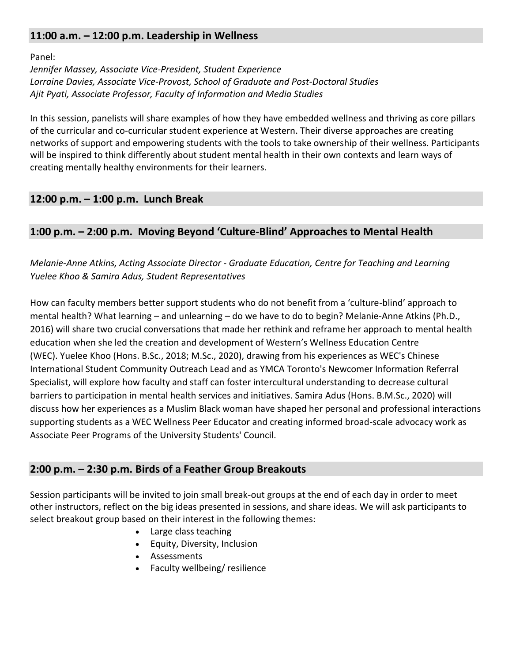### **11:00 a.m. – 12:00 p.m. Leadership in Wellness**

Panel:

*Jennifer Massey, Associate Vice-President, Student Experience Lorraine Davies, Associate Vice-Provost, School of Graduate and Post-Doctoral Studies Ajit Pyati, Associate Professor, Faculty of Information and Media Studies*

In this session, panelists will share examples of how they have embedded wellness and thriving as core pillars of the curricular and co-curricular student experience at Western. Their diverse approaches are creating networks of support and empowering students with the tools to take ownership of their wellness. Participants will be inspired to think differently about student mental health in their own contexts and learn ways of creating mentally healthy environments for their learners.

### **12:00 p.m. – 1:00 p.m. Lunch Break**

### **1:00 p.m. – 2:00 p.m. Moving Beyond 'Culture-Blind' Approaches to Mental Health**

*Melanie-Anne Atkins, Acting Associate Director - Graduate Education, Centre for Teaching and Learning Yuelee Khoo & Samira Adus, Student Representatives*

How can faculty members better support students who do not benefit from a 'culture-blind' approach to mental health? What learning – and unlearning – do we have to do to begin? Melanie-Anne Atkins (Ph.D., 2016) will share two crucial conversations that made her rethink and reframe her approach to mental health education when she led the creation and development of Western's Wellness Education Centre (WEC). Yuelee Khoo (Hons. B.Sc., 2018; M.Sc., 2020), drawing from his experiences as WEC's Chinese International Student Community Outreach Lead and as YMCA Toronto's Newcomer Information Referral Specialist, will explore how faculty and staff can foster intercultural understanding to decrease cultural barriers to participation in mental health services and initiatives. Samira Adus (Hons. B.M.Sc., 2020) will discuss how her experiences as a Muslim Black woman have shaped her personal and professional interactions supporting students as a WEC Wellness Peer Educator and creating informed broad-scale advocacy work as Associate Peer Programs of the University Students' Council. 

### **2:00 p.m. – 2:30 p.m. Birds of a Feather Group Breakouts**

Session participants will be invited to join small break-out groups at the end of each day in order to meet other instructors, reflect on the big ideas presented in sessions, and share ideas. We will ask participants to select breakout group based on their interest in the following themes:

- Large class teaching
- Equity, Diversity, Inclusion
- Assessments
- Faculty wellbeing/ resilience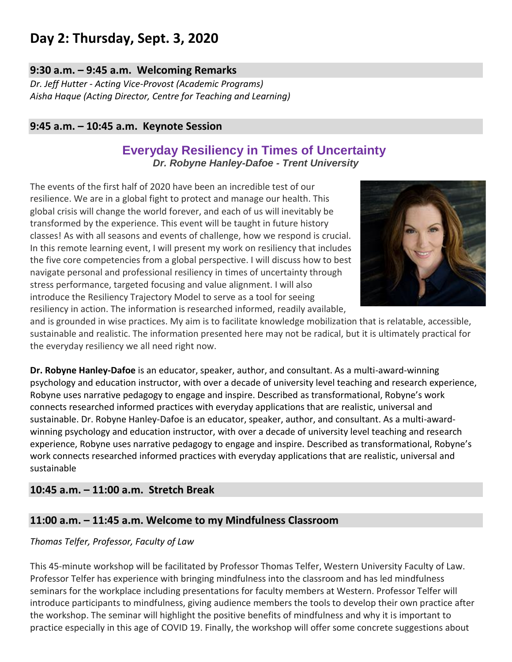## **Day 2: Thursday, Sept. 3, 2020**

### **9:30 a.m. – 9:45 a.m. Welcoming Remarks**

*Dr. Jeff Hutter - Acting Vice-Provost (Academic Programs) Aisha Haque (Acting Director, Centre for Teaching and Learning)*

### **9:45 a.m. – 10:45 a.m. Keynote Session**

### **Everyday Resiliency in Times of Uncertainty** *Dr. Robyne Hanley-Dafoe - Trent University*

The events of the first half of 2020 have been an incredible test of our resilience. We are in a global fight to protect and manage our health. This global crisis will change the world forever, and each of us will inevitably be transformed by the experience. This event will be taught in future history classes! As with all seasons and events of challenge, how we respond is crucial. In this remote learning event, I will present my work on resiliency that includes the five core competencies from a global perspective. I will discuss how to best navigate personal and professional resiliency in times of uncertainty through stress performance, targeted focusing and value alignment. I will also introduce the Resiliency Trajectory Model to serve as a tool for seeing resiliency in action. The information is researched informed, readily available,



and is grounded in wise practices. My aim is to facilitate knowledge mobilization that is relatable, accessible, sustainable and realistic. The information presented here may not be radical, but it is ultimately practical for the everyday resiliency we all need right now.

**Dr. Robyne Hanley-Dafoe** is an educator, speaker, author, and consultant. As a multi-award-winning psychology and education instructor, with over a decade of university level teaching and research experience, Robyne uses narrative pedagogy to engage and inspire. Described as transformational, Robyne's work connects researched informed practices with everyday applications that are realistic, universal and sustainable. Dr. Robyne Hanley-Dafoe is an educator, speaker, author, and consultant. As a multi-awardwinning psychology and education instructor, with over a decade of university level teaching and research experience, Robyne uses narrative pedagogy to engage and inspire. Described as transformational, Robyne's work connects researched informed practices with everyday applications that are realistic, universal and sustainable

### **10:45 a.m. – 11:00 a.m. Stretch Break**

### **11:00 a.m. – 11:45 a.m. Welcome to my Mindfulness Classroom**

#### *Thomas Telfer, Professor, Faculty of Law*

This 45-minute workshop will be facilitated by Professor Thomas Telfer, Western University Faculty of Law. Professor Telfer has experience with bringing mindfulness into the classroom and has led mindfulness seminars for the workplace including presentations for faculty members at Western. Professor Telfer will introduce participants to mindfulness, giving audience members the tools to develop their own practice after the workshop. The seminar will highlight the positive benefits of mindfulness and why it is important to practice especially in this age of COVID 19. Finally, the workshop will offer some concrete suggestions about